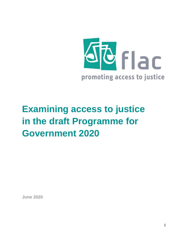

# **Examining access to justice in the draft Programme for Government 2020**

**June 2020**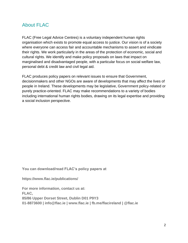#### <span id="page-1-0"></span>About FLAC

FLAC (Free Legal Advice Centres) is a voluntary independent human rights organisation which exists to promote equal access to justice. Our vision is of a society where everyone can access fair and accountable mechanisms to assert and vindicate their rights. We work particularly in the areas of the protection of economic, social and cultural rights. We identify and make policy proposals on laws that impact on marginalised and disadvantaged people, with a particular focus on social welfare law, personal debt & credit law and civil legal aid.

FLAC produces policy papers on relevant issues to ensure that Government, decisionmakers and other NGOs are aware of developments that may affect the lives of people in Ireland. These developments may be legislative, Government policy-related or purely practice-oriented. FLAC may make recommendations to a variety of bodies including international human rights bodies, drawing on its legal expertise and providing a social inclusion perspective.

**You can download/read FLAC's policy papers at**

**https://www.flac.ie/publications/**

**For more information, contact us at: FLAC, 85/86 Upper Dorset Street, Dublin D01 P9Y3 01-8873600 | info@flac.ie | www.flac.ie | fb.me/flacireland | @flac.ie**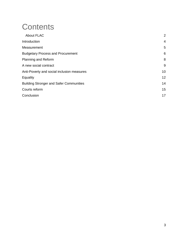### **Contents**

| <b>About FLAC</b>                              | 2              |
|------------------------------------------------|----------------|
| Introduction                                   | $\overline{4}$ |
| Measurement                                    | 5              |
| <b>Budgetary Process and Procurement</b>       | 6              |
| Planning and Reform                            | 8              |
| A new social contract                          | 9              |
| Anti-Poverty and social inclusion measures     | 10             |
| Equality                                       | 12             |
| <b>Building Stronger and Safer Communities</b> | 14             |
| Courts reform                                  | 15             |
| Conclusion                                     | 17             |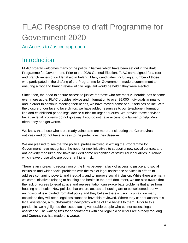## FLAC Response to draft Programme for Government 2020

An Access to Justice approach

#### <span id="page-3-0"></span>**Introduction**

FLAC broadly welcomes many of the policy initiatives which have been set out in the draft Programme for Government. Prior to the 2020 General Election, FLAC campaigned for a root and branch review of civil legal aid in Ireland. Many candidates, including a number of those who participated in the drafting of the Programme for Government, made a commitment to ensuring a root and branch review of civil legal aid would be held if they were elected.

Since then, the need to ensure access to justice for those who are most vulnerable has become even more acute. FLAC provides advice and information to over 25,000 individuals annually, and in order to continue meeting their needs, we have moved some of our services online. With the closure of our face to face clinics, we have added resources to our telephone information line and established phone legal advice clinics for urgent queries. We provide these services because legal problems do not go away if you do not have access to a lawyer to help. Very often, they can get worse.

We know that those who are already vulnerable are more at risk during the Coronavirus outbreak and do not have access to the protections they deserve.

We are pleased to see that the political parties involved in writing the Programme for Government have recognised the need for new initiatives to support a new social contract and anti-poverty measures and have included some recognition of structural inequalities in Ireland which leave those who are poorer at higher risk.

There is an increasing recognition of the links between a lack of access to justice and social exclusion and wider social problems with the role of legal assistance services in efforts to address continuing poverty and inequality and to improve social inclusion. While there are many welcome initiatives relating to housing and health in the draft document, we are also aware that the lack of access to legal advice and representation can exacerbate problems that arise from housing and health. New policies that ensure access to housing are to be welcomed, but when an individual is excluded from that policy and they believe the exclusion is unfair, on many occasions they will need legal assistance to have this reviewed. Where they cannot access this legal assistance, a much-heralded new policy will be of little benefit to them. Prior to this pandemic, we highlighted the issues facing vulnerable people who cannot access legal assistance. The waiting lists for appointments with civil legal aid solicitors are already too long and Coronavirus has made this worse.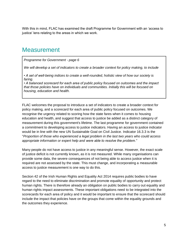With this in mind, FLAC has examined the draft Programme for Government with an 'access to justice' lens relating to the areas in which we work.

#### <span id="page-4-0"></span>**Measurement**

*Programme for Government - page 6* 

*We will develop a set of indicators to create a broader context for policy making, to include*

*• A set of well-being indices to create a well-rounded, holistic view of how our society is faring.*

*• A balanced scorecard for each area of public policy focused on outcomes and the impact that those policies have on individuals and communities. Initially this will be focused on housing, education and health.*

FLAC welcomes the proposal to introduce a set of indicators to create a broader context for policy making, and a scorecard for each area of public policy focused on outcomes. We recognise the urgency related to scoring how the state fares when it comes to housing education and health, and suggest that access to justice be added as a distinct category of measurement during this government's lifetime. The last programme for government contained a commitment to developing access to justice indicators. Having an access to justice indicator would be in line with the new UN Sustainable Goal on Civil Justice. Indicator 16.3.3 is the "*Proportion of those who experienced a legal problem in the last two years who could access appropriate information or expert help and were able to resolve the problem."*

Many people do not have access to justice in any meaningful sense. However, the exact scale of justice deficit is not currently known, as it is not measured. While many organisations can provide some data, the severe consequences of not being able to access justice when it is required are not assessed by the state. This must change, and incorporating a measurable access to justice measurement is one way to do this.

Section 42 of the Irish Human Rights and Equality Act 2014 requires public bodies to have regard to the need to eliminate discrimination and promote equality of opportunity and protect human rights. There is therefore already an obligation on public bodies to carry out equality and human rights impact assessments. These important obligations need to be integrated into the scorecards for each area of policy and it would be important to ensure that the scorecard should include the impact that policies have on the groups that come within the equality grounds and the outcomes they experience.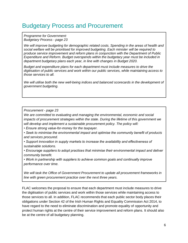#### <span id="page-5-0"></span>Budgetary Process and Procurement

*Programme for Government: Budgetary Process - page 23* 

*We will improve budgeting for demographic related costs. Spending in the areas of health and social welfare will be prioritised for improved budgeting. Each minister will be required to produce service improvement and reform plans in conjunction with the Department of Public Expenditure and Reform. Budget overspends within the budgetary year must be included in department budgetary plans each year, in line with changes in Budget 2020.*

*Budget and expenditure plans for each department must include measures to drive the digitisation of public services and work within our public services, while maintaining access to those services to all.* 

We will utilise both the new well-being indices and balanced scorecards in the development of *government budgeting.*

*Procurement - page 23* 

*We are committed to evaluating and managing the environmental, economic and social impacts of procurement strategies within the state. During the lifetime of this government we will develop and implement a sustainable procurement policy. The policy will:*

*• Ensure strong value-for-money for the taxpayer.*

*• Seek to minimise the environmental impact and optimise the community benefit of products and services procured.*

*• Support innovation in supply markets to increase the availability and effectiveness of sustainable solutions.*

*• Encourage suppliers to adopt practices that minimise their environmental impact and deliver community benefit.*

*• Work in partnership with suppliers to achieve common goals and continually improve performance over time.*

*We will task the Office of Government Procurement to update all procurement frameworks in line with green procurement practice over the next three years.*

FLAC welcomes the proposal to ensure that each department must include measures to drive the digitisation of public services and work within those services while maintaining access to those services to all. In addition, FLAC recommends that each public sector body places their obligations under Section 42 of the Irish Human Rights and Equality Commission Act 2014, to have regard to the need to eliminate discrimination and promote equality of opportunity and protect human rights at the centre of their service improvement and reform plans. It should also be at the centre of all budgetary planning.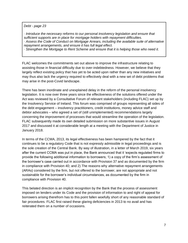*Debt - page 23*

*· Introduce the necessary reforms to our personal insolvency legislation and ensure that sufficient supports are in place for mortgage holders with repayment difficulties. · Assess the Code of Conduct on Mortgage Arrears, including the available suite of alternative repayment arrangements, and ensure it has full legal effect.*

*· Strengthen the Mortgage to Rent Scheme and ensure that it is helping those who need it.*

FLAC welcomes the commitments set out above to improve the infrastructure relating to assisting those in financial difficulty due to over-indebtedness. However, we believe that they largely reflect existing policy that has yet to be acted upon rather than any new initiatives and may thus also lack the urgency required to effectively deal with a new set of debt problems that may arise in the post-Covid landscape.

There has been inordinate and unexplained delay in the reform of the personal insolvency legislation. It is now over three years since the effectiveness of the solutions offered under the Act was reviewed by a Consultative Forum of relevant stakeholders (including FLAC) set up by the Insolvency Service of Ireland. This forum was comprised of groups representing all sides of the debt engagement – insolvency practitioners, credit institutions, money advice staff and debtor advocates – who agreed a set of (still unimplemented) recommendations largely concerning the improvement of processes that would streamline the operation of the legislation. FLAC subsequently made its own detailed submission on more substantive issues in August 2017 and discussed it at considerable length at a meeting with the Department of Justice in January 2018.

In terms of the CCMA, 2013, its legal effectiveness has been hampered by the fact that it continues to be a regulatory Code that is not expressly admissible in legal proceedings and is the sole creation of the Central Bank. By way of illustration, in a letter of March 2019, six years after the current CCMA was put in place, the Bank announced that it 'expects regulated firms to provide the following additional information to borrowers; 1) a copy of the firm's assessment of the borrower's case carried out in accordance with Provision 37 and as documented by the firm in compliance with Provision 40; and 2) The reasons why alternative repayment arrangements (ARAs) considered by the firm, but not offered to the borrower, are not appropriate and not sustainable for the borrower's individual circumstances, as documented by the firm in compliance with Provision 40.

This belated direction is an implicit recognition by the Bank that the process of assessment imposed on lenders under its Code and the provision of information to and right of appeal for borrowers arising therefrom has to this point fallen woefully short of any reasonable standard of fair procedures. FLAC first raised these glaring deficiencies in 2013 to no avail and has reiterated them on a number of occasions.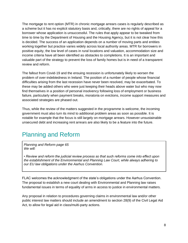The mortgage to rent option (MTR) in chronic mortgage arrears cases is regularly described as a scheme but it has no explicit statutory basis and, critically, there are no rights of appeal for a borrower whose application is unsuccessful. The rules that apply appear to be tweaked from time to time by the Department of Housing and the Housing Agency, but it is not clear how this is decided. The success of an application depends on a number of moving parts and entities working together but practice varies widely across local authority areas. MTR for borrowers in positive equity, the low level of cases in rural locations and valuation, accommodation size and income criteria have all been identified as obstacles to completions. It is an important and valuable part of the strategy to prevent the loss of family homes but is in need of a transparent review and reform.

The fallout from Covid-19 and the ensuing recession is unfortunately likely to worsen the problem of over-indebtedness in Ireland. The position of a number of people whose financial difficulties arising from the last recession have never been resolved, may be exacerbated. To these may be added others who were just keeping their heads above water but who may now find themselves in a position of personal insolvency following loss of employment or business failure, particularly when payment breaks, moratoria on evictions, income support measures and associated strategies are phased out.

Thus, while the review of the matters suggested in the programme is welcome, the incoming government must also turn its mind to additional problem areas as soon as possible. It is notable for example that the focus is still largely on mortgage arrears. However unsustainable unsecured debt and increasing rent arrears are also likely to be a feature into the future.

#### <span id="page-7-0"></span>Planning and Reform

*Planning and Reform page 65 We will:*

*• Review and reform the judicial review process so that such reforms come into effect upon the establishment of the Environmental and Planning Law Court, while always adhering to our EU law obligations under the Aarhus Convention.*

FLAC welcomes the acknowledgment of the state's obligations under the Aarhus Convention. The proposal to establish a new court dealing with Environmental and Planning law raises fundamental issues in terms of equality of arms in access to justice in environmental matters.

Any proposal in relation to procedures governing claims in environmental law and/or other public interest law matters should include an amendment to section 28(9) of the Civil Legal Aid Act, to allow for legal aid in class/multi-party actions.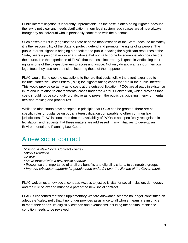Public interest litigation is inherently unpredictable, as the case is often being litigated because the law is not clear and needs clarification. In our legal system, such cases are almost always brought by an individual who is personally concerned with the outcome.

Such cases are usually against the State or some manifestation of the State, because ultimately it is the responsibility of the State to protect, defend and promote the rights of its people. The public interest litigant is bringing a benefit to the public in facing the significant resources of the State, bears a personal risk over and above that normally borne by someone who goes before the courts. It is the experience of FLAC, that the costs incurred by litigants in vindicating their rights is one of the biggest barriers to accessing justice. Not only do applicants incur their own legal fees, they also run the risk of incurring those of their opponent.

FLAC would like to see the exceptions to the rule that costs 'follow the event' expanded to include Protective Costs Orders (PCO) for litigants taking cases that are in the public interest. This would provide certainty as to costs at the outset of litigation. PCOs are already in existence in Ireland in relation to environmental cases under the Aarhus Convention, which provides that costs should not be so unduly prohibitive as to prevent the public participating in environmental decision-making and procedures.

While the Irish courts have accepted in principle that PCOs can be granted, there are no specific rules or guidance on public interest litigation comparable to other common law jurisdictions. FLAC is concerned that the availability of PCOs is not specifically recognised in legislation, and requests that these matters are addressed in any initiatives to develop an Environmental and Planning Law Court.

#### <span id="page-8-0"></span>A new social contract

*Mission: A New Social Contract - page 85 Social Protection we will:*

*• Move forward with a new social contract*

- *•* Recognise the importance of ancillary benefits and eligibility criteria to vulnerable groups.
- *Improve jobseeker supports for people aged under 24 over the lifetime of the Government.*

FLAC welcomes a new social contract. Access to justice is vital for social inclusion, democracy and the rule of law and must be a part of the new social contract.

FLAC is concerned that the Supplementary Welfare Allowance scheme no longer constitutes an adequate "safety net", that it no longer provides assistance to all whose means are insufficient to meet their needs. Its eligibility criterion and exemptions including the habitual residence condition needs to be reviewed.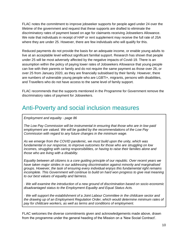FLAC notes the commitment to improve jobseeker supports for people aged under 24 over the lifetime of the government and request that these supports are drafted to eliminate the discriminatory rates of payment based on age for claimants receiving Jobseekers Allowance. We note that individuals in receipt of HAP or rent supplement may receive the full rate of JSA where they are under 25. However, there are few individuals who will qualify for this.

Reduced payments do not provide the basis for an adequate income, or enable young adults to live at an acceptable level without significant familial support. Research has shown that people under 25 will be most adversely affected by the negative impacts of Covid-19. There is an assumption within the policy of paying lower rates of Jobseekers Allowance that young people can live with their parents or family and do not require the same payment as those over 26, or over 25 from January 2020, as they are financially subsidised by their family. However, there are numbers of vulnerable young people who are LGBTI+, migrants, persons with disabilities, and Travellers who do not have access to the same level of family support.

FLAC recommends that the supports mentioned in the Programme for Government remove the discriminatory rates of payment for Jobseekers.

#### <span id="page-9-0"></span>Anti-Poverty and social inclusion measures

*Employment and equality - page 86*

*The Low Pay Commission will be instrumental in ensuring that those who are in low-paid employment are valued. We will be guided by the recommendations of the Low Pay Commission with regard to any future changes in the minimum wage.*

*As we emerge from the COVID pandemic, we must build upon the unity, which was fundamental in our response, to improve outcomes for those who are struggling on low incomes, struggling with caring responsibilities, or having to raise their families alone and those who are living with a disability.*

*Equality between all citizens is a core guiding principle of our republic. Over recent years we have taken major strides in our addressing discrimination against minority and marginalised groups. However, the task of ensuring every individual enjoys this fundamental right remains incomplete. This Government will continue to build on hard won progress to give real meaning to our best values of equality and fairness.*

*· We will examine the introduction of a new ground of discrimination based on socio-economic disadvantaged status to the Employment Equality and Equal Status Acts.*

*· We will support the establishment of a Joint Labour Committee in the childcare sector and the drawing up of an Employment Regulation Order, which would determine minimum rates of pay for childcare workers, as well as terms and conditions of employment.*

FLAC welcomes the diverse commitments given and acknowledgements made above, drawn from the programme under the general heading of the Mission on a 'New Social Contract'.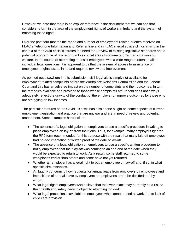However, we note that there is no explicit reference in the document that we can see that considers reform in the area of the employment rights of workers in Ireland and the system of enforcing these rights.

Over the past four months the range and number of employment related queries received on FLAC's Telephone Information and Referral line and in FLAC's legal advice clinics arising in the context of the Covid crisis illustrates the need for a review of existing legislative standards and a potential programme of law reform in this critical area of socio-economic participation and welfare. In the course of attempting to assist employees with a wide range of often detailed individual legal questions, it is apparent to us that the system of access to assistance on employment rights issues in Ireland requires review and improvement.

As pointed out elsewhere in this submission, civil legal aid is simply not available for employment related complaints before the Workplace Relations Commission and the Labour Court and this has an adverse impact on the number of complaints and their outcomes. In turn, the remedies available and provided to those whose complaints are upheld does not always adequately reflect the gravity of the conduct of the employer or improve outcomes for those who are struggling on low incomes.

The particular features of the Covid-19 crisis has also shone a light on some aspects of current employment legislation and practice that are unclear and are in need of review and potential amendment. Some examples here include:

- The absence of a legal obligation on employers to use a specific procedure in writing to place employees on lay-off from their jobs. Thus, for example, many employers ignored the RP9 form recommended for this purpose with the result that many laid off employees had no documentation or written proof of the date of lay-off.
- The absence of a legal obligation on employers to use a specific written procedure to notify employees that their lay-off was coming to an end and of the date when they would be expected to return to work. As a result, some staff returned to some workplaces earlier than others and some have not yet returned.
- Whether an employer has a legal right to put an employee on lay-off and, if so, in what specific circumstances.
- Ambiguity concerning how requests for annual leave from employers by employees and impositions of annual leave by employers on employees are to be decided and by whom.
- What legal rights employees who believe that their workplace may currently be a risk to their health and safety have to object to attending for work.
- What legal protection is available to employees who cannot attend at work due to lack of child care provision.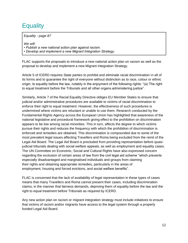### <span id="page-11-0"></span>**Equality**

*Equality - page 87* 

*We will: • Publish a new national action plan against racism. • Develop and implement a new Migrant Integration Strategy.*

FLAC supports the proposals to introduce a new national action plan on racism as well as the proposal to develop and implement a new Migrant Integration Strategy.

Article 5 of ICERD requires State parties to prohibit and eliminate racial discrimination in all of its forms and to guarantee the right of everyone without distinction as to race, colour or ethnic origin, to equality before the law, notably in the enjoyment of the following rights: "(a) The right to equal treatment before the Tribunals and all other organs administering justice".

Similarly, Article 7 of the Racial Equality Directive obliges EU Member States to ensure that judicial and/or administrative procedures are available to victims of racial discrimination to enforce their right to equal treatment. However, the effectiveness of such procedures is undermined where victims are reluctant or unable to use them. Research conducted by the Fundamental Rights Agency across the European Union has highlighted that awareness of the national legislative and procedural framework giving effect to the prohibition on discrimination appears to be low among racial minorities. This in turn, affects the degree to which victims pursue their rights and reduces the frequency with which the prohibition of discrimination is enforced and remedies are obtained. This discrimination is compounded due to some of the most prevalent legal issues affecting Travellers and Roma being excluded from the remit of the Legal Aid Board. The Legal Aid Board is precluded from providing representation before quasijudicial tribunals dealing with social welfare appeals, as well as employment and equality cases. The UN Committee on Economic, Social and Cultural Rights have also expressed concern regarding the exclusion of certain areas of law from the civil legal aid scheme "which prevents especially disadvantaged and marginalised individuals and groups from claiming their rights and obtaining appropriate remedies, particularly in the areas of employment, housing and forced evictions, and social welfare benefits".

FLAC is concerned that the lack of availability of legal representation in these types of cases means that many Travellers and Roma cannot present their cases, including discrimination claims, in the manner that fairness demands, depriving them of equality before the law and the right to equal treatment before Tribunals as required by ICERD.

Any new action plan on racism or migrant integration strategy must include initiatives to ensure that victims of racism and/or migrants have access to the legal system through a properly funded Legal Aid Board.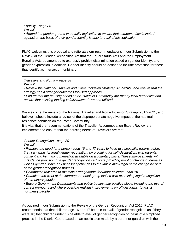*Equality - page 88 We will: • Amend the gender ground in equality legislation to ensure that someone discriminated against on the basis of their gender identity is able to avail of this legislation.*

FLAC welcomes this proposal and reiterates our recommendations in our Submission to the Review of the Gender Recognition Act that the Equal Status Acts and the Employment Equality Acts be amended to expressly prohibit discrimination based on gender identity, and gender expression in addition. Gender identity should be defined to include protection for those that identify as intersex or nonbinary.

*Travellers and Roma – page 88 We will:*

*• Review the National Traveller and Roma Inclusion Strategy 2017-2021, and ensure that the strategy has a stronger outcomes focused approach.* 

*• Ensure that the housing needs of the Traveller Community are met by local authorities and ensure that existing funding is fully drawn down and utilised.*

We welcome the review of the National Traveller and Roma Inclusion Strategy 2017-2021, and believe it should include a review of the disproportionate negative impact of the habitual residence condition on the Roma Community.

It is vital that the recommendations of the Traveller Accommodation Expert Review are implemented to ensure that the housing needs of Travellers are met.

*Gender Recognition - page 89 We will:*

*• Remove the need for a person aged 16 and 17 years to have two specialist reports before they can apply for legal gender recognition, by providing for self-declaration, with parental consent and by making mediation available on a voluntary basis. These improvements will include the provision of a gender recognition certificate providing proof of change of name as well as gender. Make any necessary changes to the law to allow legal name change be part of the gender recognition process.*

*• Commence research to examine arrangements for under children under 16.*

*• Complete the work of the interdepartmental group tasked with examining legal recognition of non-binary people.*

*• Ensure Government Departments and public bodies take positive steps, including the use of correct pronouns and where possible making improvements on official forms, to assist nonbinary people.*

As outlined in our Submission to the Review of the Gender Recognition Act 2015, FLAC recommends that that children age 16 and 17 be able to avail of gender recognition as if they were 18; that children under 16 be able to avail of gender recognition on basis of a simplified process in the District Court based on an application made by a parent or guardian with the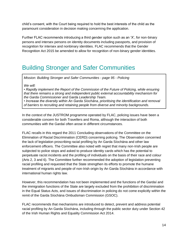child's consent, with the Court being required to hold the best interests of the child as the paramount consideration in decision making concerning the application.

Further FLAC recommends introducing a third gender option such as an 'X', for non-binary persons and intersex persons on identity documents including passports, and provision of recognition for intersex and nonbinary identities. FLAC recommends that the Gender Recognition Act 2015 be amended to allow for recognition of non-binary gender identities.

#### <span id="page-13-0"></span>Building Stronger and Safer Communities

*Mission: Building Stronger and Safer Communities - page 95 - Policing*

*We will:*

*• Rapidly implement the Report of the Commission of the Future of Policing, while ensuring that there remains a strong and independent public external accountability mechanism for the Garda Commissioner and Garda Leadership Team.*

*• Increase the diversity within An Garda Síochána, prioritising the identification and removal of barriers to recruiting and retaining people from diverse and minority backgrounds.*

In the context of the JUSTROM programme operated by FLAC, policing issues have been a considerable concern for both Travellers and Roma, although the interaction of both communities with the Gardaí often arose in different circumstances.

FLAC recalls in this regard the 2011 Concluding observations of the Committee on the Elimination of Racial Discrimination (CERD) concerning policing. The Observation concerned the lack of legislation proscribing racial profiling by An Garda Síochána and other law enforcement officers. The Committee also noted with regret that many non-Irish people are subjected to police stops and asked to produce identity cards which has the potential to perpetuate racist incidents and the profiling of individuals on the basis of their race and colour (Arts 2, 3 and 6). The Committee further recommended the adoption of legislation preventing racial profiling and requested that the State strengthen its efforts to promote the humane treatment of migrants and people of non-Irish origin by An Garda Síochána in accordance with international human rights law.

However, this recommendation has not been implemented and the functions of the Gardaí and the immigration functions of the State are largely excluded from the prohibition of discrimination in the Equal Status Acts, and issues of discrimination in policing do not come explicitly within the remit of the Garda Síochána Ombudsman Commission (GSOC).

FLAC recommends that mechanisms are introduced to detect, prevent and address potential racial profiling by An Garda Síochána, including through the public sector duty under Section 42 of the Irish Human Rights and Equality Commission Act 2014.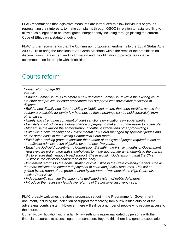FLAC recommends that legislative measures are introduced to allow individuals or groups representing their interests, to make complaints through GSOC in relation to racial profiling to allow such allegation to be investigated independently including through placing the current Code of Ethics on a statutory footing.

FLAC further recommends that the Commission propose amendments to the Equal Status Acts 2000-2015 to bring the functions of An Garda Siochana within the remit of the prohibition on discrimination, harassment and victimisation and the obligation to provide reasonable accommodation for people with disabilities.

#### <span id="page-14-0"></span>Courts reform

*Courts reform - page 96 We will:* 

*• Enact a Family Court Bill to create a new dedicated Family Court within the existing court structure and provide for court procedures that support a less adversarial resolution of disputes.*

*• Build a new Family Law Court building in Dublin and ensure that court facilities across the country are suitable for family law hearings so these hearings can be held separately from other cases.*

- *Clarify and strengthen contempt of court sanctions for violations on social media.*
- *Legislate to introduce a statutory offence of perjury, to make this crime easier to prosecute.*
- *Modernise the law on the administration of oaths in judicial and other proceedings.*

*• Establish a new Planning and Environmental Law Court managed by specialist judges and on the same basis of the existing Commercial Court model.*

- *Establish a working group to consider the number of and type of judges required to ensure the efficient administration of justice over the next five years.*
- *Enact the Judicial Appointments Commission Bill within the first six months of Government. However, we will engage with stakeholders to make appropriate amendments to the current Bill to ensure that it enjoys broad support. These would include ensuring that the Chief Justice is the ex-officio chairperson of the body.*

*• Implement reforms to the administration of civil justice in the State covering matters such as the more efficient and effective deployment of court and judicial resources. This will be guided by the report of the group chaired by the former President of the High Court, Mr. Justice Peter Kelly.*

*• Independently examine the option of a dedicated system of public defenders.*

*• Introduce the necessary legislative reforms of the personal insolvency sys.*

FLAC broadly welcomes the above proposals set out in the Programme for Government document, including the indication of support for resolving family law issues outside of the adversarial courts system. However, there will still be a number of people who require access to the courts.

Currently, civil litigation within a family law setting is easier navigated by persons with the financial resources to access legal representation. Beyond this, there is a general expectation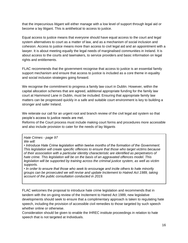that the impecunious litigant will either manage with a low level of support through legal aid or become a lay litigant. This is antithetical to access to justice.

Equal access to justice means that everyone should have equal access to the court and legal system alternatives to court as a matter of law, and as a mechanism of social inclusion and cohesion. Access to justice means more than access to civil legal aid and an appointment with a lawyer. It is about meeting equally the legal needs of marginalised communities in Ireland. It is about access to the courts and lawmakers, to service providers and basic information on legal rights and entitlements.

FLAC recommends that the government recognise that access to justice is an essential family support mechanism and ensure that access to justice is included as a core theme in equality and social inclusion strategies going forward.

We recognise the commitment to progress a family law court in Dublin. However, within the capital allocation schemes that are agreed, additional appropriate funding for the family law court at Hammond Lane in Dublin, must be included. Ensuring that appropriate family law matters can be progressed quickly in a safe and suitable court environment is key to building a stronger and safer Ireland.

We reiterate our call for an urgent root and branch review of the civil legal aid system so that people's access to justice needs are met.

Reforms of the Court process must include making court forms and procedures more accessible and also include provision to cater for the needs of lay litigants

#### *Hate Crimes - page 97 We will:*

*• Introduce Hate Crime legislation within twelve months of the formation of the Government. This legislation will create specific offences to ensure that those who target victims because of their association with a particular identity characteristic are identified as perpetrators of hate crime. This legislation will be on the basis of an aggravated offences model. This legislation will be supported by training across the criminal justice system, as well as victim supports.*

*• In order to ensure that those who seek to encourage and incite others to hate minority groups can be prosecuted we will revise and update Incitement to Hatred Act 1989, taking account of the public consultation conducted in 2019.*

FLAC welcomes the proposal to introduce hate crime legislation and recommends that in tandem with the on-going review of the Incitement to Hatred Act 1989, new legislative developments should seek to ensure that a complimentary approach is taken to regulating hate speech, including the provision of accessible civil remedies to those targeted by such speech whether online or otherwise.

Consideration should be given to enable the IHREC institute proceedings in relation to hate speech that is not targeted at Individuals.